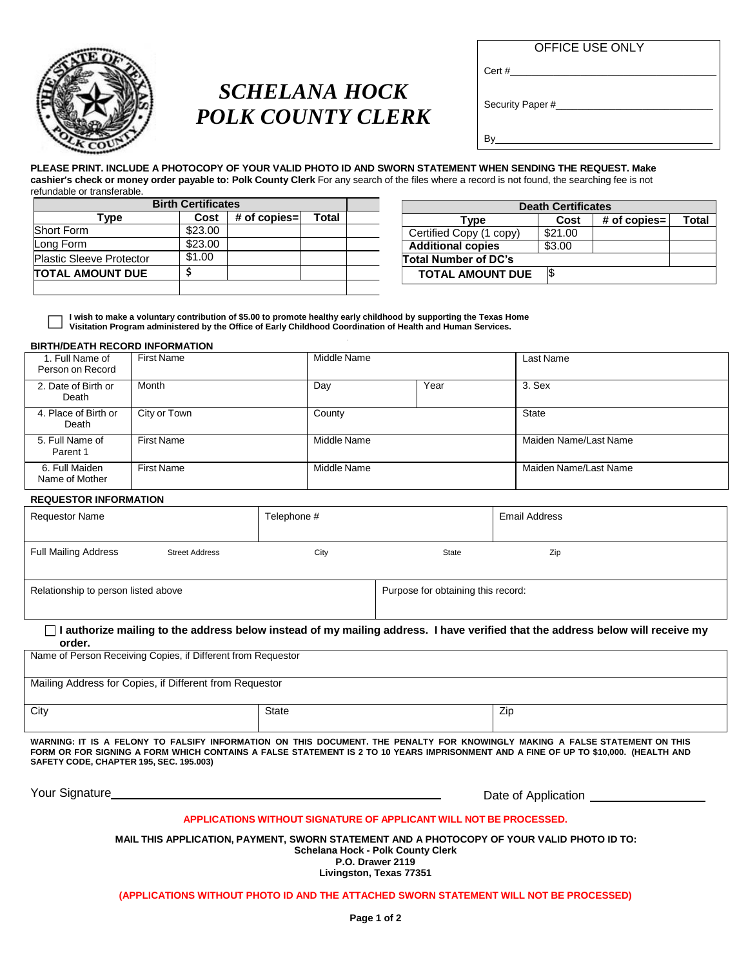

# *SCHELANA HOCK POLK COUNTY CLERK*

Cert #

Security Paper #

By \_\_\_\_\_\_\_\_\_\_\_\_\_\_\_\_\_\_\_\_\_\_\_\_\_\_

**PLEASE PRINT. INCLUDE A PHOTOCOPY OF YOUR VALID PHOTO ID AND SWORN STATEMENT WHEN SENDING THE REQUEST. Make cashier's check or money order payable to: Polk County Clerk** For any search of the files where a record is not found, the searching fee is not refundable or transferable.

| <b>Birth Certificates</b>       |         |                  |       |  |
|---------------------------------|---------|------------------|-------|--|
| Tvpe                            | Cost    | # of copies= $ $ | Total |  |
| <b>Short Form</b>               | \$23.00 |                  |       |  |
| Long Form                       | \$23.00 |                  |       |  |
| <b>Plastic Sleeve Protector</b> | \$1.00  |                  |       |  |
| <b>TOTAL AMOUNT DUE</b>         |         |                  |       |  |
|                                 |         |                  |       |  |

| <b>Death Certificates</b> |         |                |       |
|---------------------------|---------|----------------|-------|
| Type                      | Cost    | $#$ of copies= | Total |
| Certified Copy (1 copy)   | \$21.00 |                |       |
| <b>Additional copies</b>  | \$3.00  |                |       |
| Total Number of DC's      |         |                |       |
| <b>TOTAL AMOUNT DUE</b>   |         |                |       |

l wish to make a voluntary contribution of \$5.00 to promote healthy early childhood by supporting the Texas Home **Visitation Program administered by the Office of Early Childhood Coordination of Health and Human Services.**

## **BIRTH/DEATH RECORD INFORMATION**

| 1. Full Name of<br>Person on Record | <b>First Name</b> | Middle Name |      | Last Name             |
|-------------------------------------|-------------------|-------------|------|-----------------------|
| 2. Date of Birth or<br>Death        | Month             | Day         | Year | 3. Sex                |
| 4. Place of Birth or<br>Death       | City or Town      | County      |      | <b>State</b>          |
| 5. Full Name of<br>Parent 1         | <b>First Name</b> | Middle Name |      | Maiden Name/Last Name |
| 6. Full Maiden<br>Name of Mother    | <b>First Name</b> | Middle Name |      | Maiden Name/Last Name |

## **REQUESTOR INFORMATION**

| Requestor Name                      |                       | Telephone # |                                    | Email Address |
|-------------------------------------|-----------------------|-------------|------------------------------------|---------------|
| <b>Full Mailing Address</b>         | <b>Street Address</b> | City        | State                              | Zip           |
| Relationship to person listed above |                       |             | Purpose for obtaining this record: |               |

□ I authorize mailing to the address below instead of my mailing address. I have verified that the address below will receive my **order.**

| Name of Person Receiving Copies, if Different from Requestor |              |     |  |
|--------------------------------------------------------------|--------------|-----|--|
| Mailing Address for Copies, if Different from Requestor      |              |     |  |
|                                                              |              |     |  |
| City                                                         | <b>State</b> | Zip |  |
|                                                              |              |     |  |
|                                                              |              |     |  |

WARNING: IT IS A FELONY TO FALSIFY INFORMATION ON THIS DOCUMENT. THE PENALTY FOR KNOWINGLY MAKING A FALSE STATEMENT ON THIS FORM OR FOR SIGNING A FORM WHICH CONTAINS A FALSE STATEMENT IS 2 TO 10 YEARS IMPRISONMENT AND A FINE OF UP TO \$10,000. (HEALTH AND **SAFETY CODE, CHAPTER 195, SEC. 195.003)**

Your Signature **Date of Application** 

## **APPLICATIONS WITHOUT SIGNATURE OF APPLICANT WILL NOT BE PROCESSED.**

**MAIL THIS APPLICATION, PAYMENT, SWORN STATEMENT AND A PHOTOCOPY OF YOUR VALID PHOTO ID TO:**

**Schelana Hock - Polk County Clerk**

**P.O. Drawer 2119 Livingston, Texas 77351**

## **(APPLICATIONS WITHOUT PHOTO ID AND THE ATTACHED SWORN STATEMENT WILL NOT BE PROCESSED)**